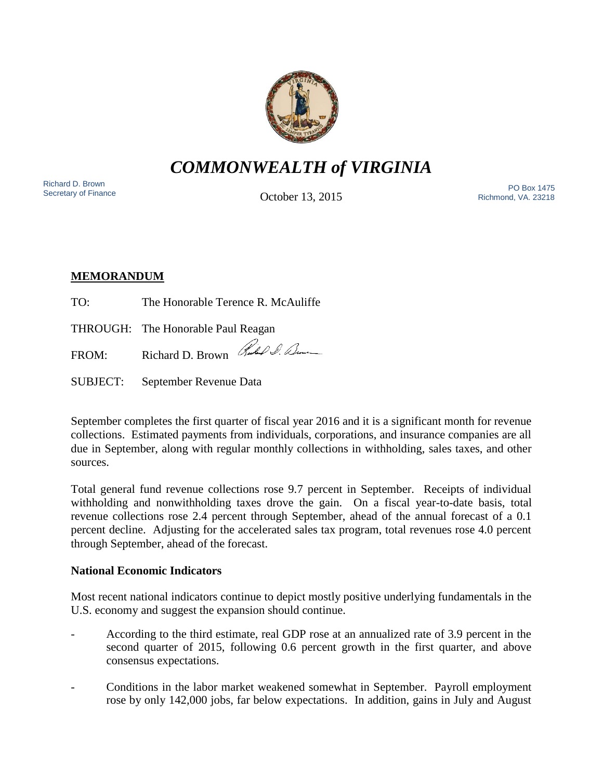

# *COMMONWEALTH of VIRGINIA*

Richard D. Brown<br>Secretary of Finance

October 13, 2015

Secretary of Finance<br>Secretary of Finance **PO Box 1475**<br>Cotobor 13 2015 Richmond, VA. 23218

## **MEMORANDUM**

TO: The Honorable Terence R. McAuliffe

THROUGH: The Honorable Paul Reagan

FROM: Richard D. Brown Rubble D. Lum

SUBJECT: September Revenue Data

September completes the first quarter of fiscal year 2016 and it is a significant month for revenue collections. Estimated payments from individuals, corporations, and insurance companies are all due in September, along with regular monthly collections in withholding, sales taxes, and other sources.

Total general fund revenue collections rose 9.7 percent in September. Receipts of individual withholding and nonwithholding taxes drove the gain. On a fiscal year-to-date basis, total revenue collections rose 2.4 percent through September, ahead of the annual forecast of a 0.1 percent decline. Adjusting for the accelerated sales tax program, total revenues rose 4.0 percent through September, ahead of the forecast.

## **National Economic Indicators**

Most recent national indicators continue to depict mostly positive underlying fundamentals in the U.S. economy and suggest the expansion should continue.

- According to the third estimate, real GDP rose at an annualized rate of 3.9 percent in the second quarter of 2015, following 0.6 percent growth in the first quarter, and above consensus expectations.
- Conditions in the labor market weakened somewhat in September. Payroll employment rose by only 142,000 jobs, far below expectations. In addition, gains in July and August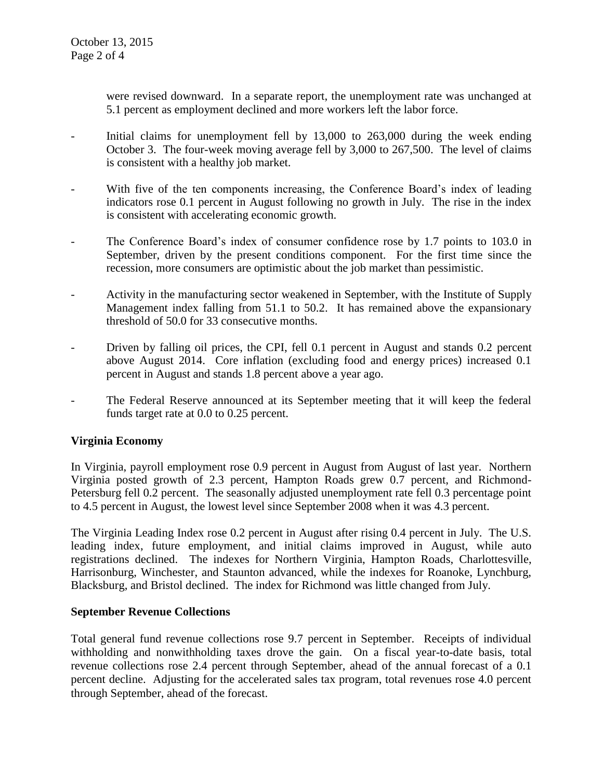were revised downward. In a separate report, the unemployment rate was unchanged at 5.1 percent as employment declined and more workers left the labor force.

- Initial claims for unemployment fell by 13,000 to 263,000 during the week ending October 3. The four-week moving average fell by 3,000 to 267,500. The level of claims is consistent with a healthy job market.
- With five of the ten components increasing, the Conference Board's index of leading indicators rose 0.1 percent in August following no growth in July. The rise in the index is consistent with accelerating economic growth.
- The Conference Board's index of consumer confidence rose by 1.7 points to 103.0 in September, driven by the present conditions component. For the first time since the recession, more consumers are optimistic about the job market than pessimistic.
- Activity in the manufacturing sector weakened in September, with the Institute of Supply Management index falling from 51.1 to 50.2. It has remained above the expansionary threshold of 50.0 for 33 consecutive months.
- Driven by falling oil prices, the CPI, fell 0.1 percent in August and stands 0.2 percent above August 2014. Core inflation (excluding food and energy prices) increased 0.1 percent in August and stands 1.8 percent above a year ago.
- The Federal Reserve announced at its September meeting that it will keep the federal funds target rate at 0.0 to 0.25 percent.

## **Virginia Economy**

In Virginia, payroll employment rose 0.9 percent in August from August of last year. Northern Virginia posted growth of 2.3 percent, Hampton Roads grew 0.7 percent, and Richmond-Petersburg fell 0.2 percent. The seasonally adjusted unemployment rate fell 0.3 percentage point to 4.5 percent in August, the lowest level since September 2008 when it was 4.3 percent.

The Virginia Leading Index rose 0.2 percent in August after rising 0.4 percent in July. The U.S. leading index, future employment, and initial claims improved in August, while auto registrations declined. The indexes for Northern Virginia, Hampton Roads, Charlottesville, Harrisonburg, Winchester, and Staunton advanced, while the indexes for Roanoke, Lynchburg, Blacksburg, and Bristol declined. The index for Richmond was little changed from July.

#### **September Revenue Collections**

Total general fund revenue collections rose 9.7 percent in September. Receipts of individual withholding and nonwithholding taxes drove the gain. On a fiscal year-to-date basis, total revenue collections rose 2.4 percent through September, ahead of the annual forecast of a 0.1 percent decline. Adjusting for the accelerated sales tax program, total revenues rose 4.0 percent through September, ahead of the forecast.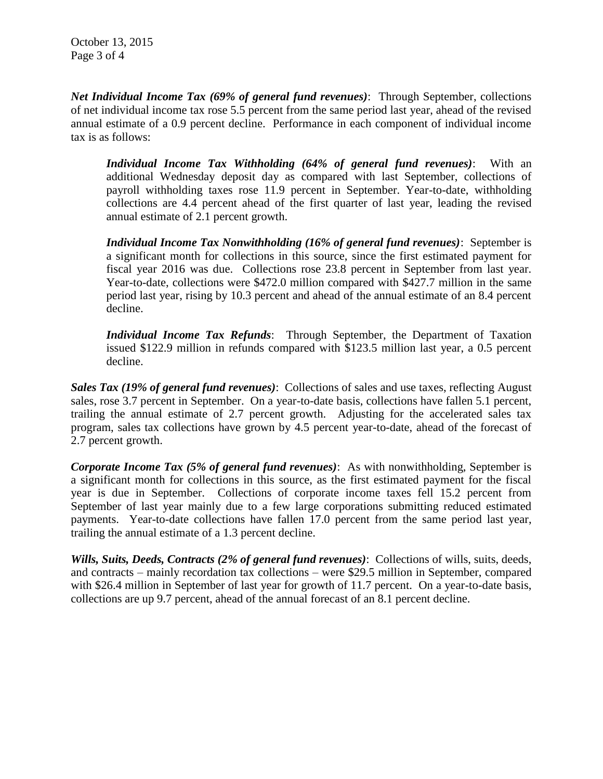October 13, 2015 Page 3 of 4

*Net Individual Income Tax (69% of general fund revenues)*: Through September, collections of net individual income tax rose 5.5 percent from the same period last year, ahead of the revised annual estimate of a 0.9 percent decline. Performance in each component of individual income tax is as follows:

*Individual Income Tax Withholding (64% of general fund revenues)*: With an additional Wednesday deposit day as compared with last September, collections of payroll withholding taxes rose 11.9 percent in September. Year-to-date, withholding collections are 4.4 percent ahead of the first quarter of last year, leading the revised annual estimate of 2.1 percent growth.

*Individual Income Tax Nonwithholding (16% of general fund revenues)*: September is a significant month for collections in this source, since the first estimated payment for fiscal year 2016 was due. Collections rose 23.8 percent in September from last year. Year-to-date, collections were \$472.0 million compared with \$427.7 million in the same period last year, rising by 10.3 percent and ahead of the annual estimate of an 8.4 percent decline.

*Individual Income Tax Refunds*: Through September, the Department of Taxation issued \$122.9 million in refunds compared with \$123.5 million last year, a 0.5 percent decline.

*Sales Tax (19% of general fund revenues)*: Collections of sales and use taxes, reflecting August sales, rose 3.7 percent in September. On a year-to-date basis, collections have fallen 5.1 percent, trailing the annual estimate of 2.7 percent growth. Adjusting for the accelerated sales tax program, sales tax collections have grown by 4.5 percent year-to-date, ahead of the forecast of 2.7 percent growth.

*Corporate Income Tax (5% of general fund revenues)*: As with nonwithholding, September is a significant month for collections in this source, as the first estimated payment for the fiscal year is due in September. Collections of corporate income taxes fell 15.2 percent from September of last year mainly due to a few large corporations submitting reduced estimated payments. Year-to-date collections have fallen 17.0 percent from the same period last year, trailing the annual estimate of a 1.3 percent decline.

*Wills, Suits, Deeds, Contracts (2% of general fund revenues)*: Collections of wills, suits, deeds, and contracts – mainly recordation tax collections – were \$29.5 million in September, compared with \$26.4 million in September of last year for growth of 11.7 percent. On a year-to-date basis, collections are up 9.7 percent, ahead of the annual forecast of an 8.1 percent decline.